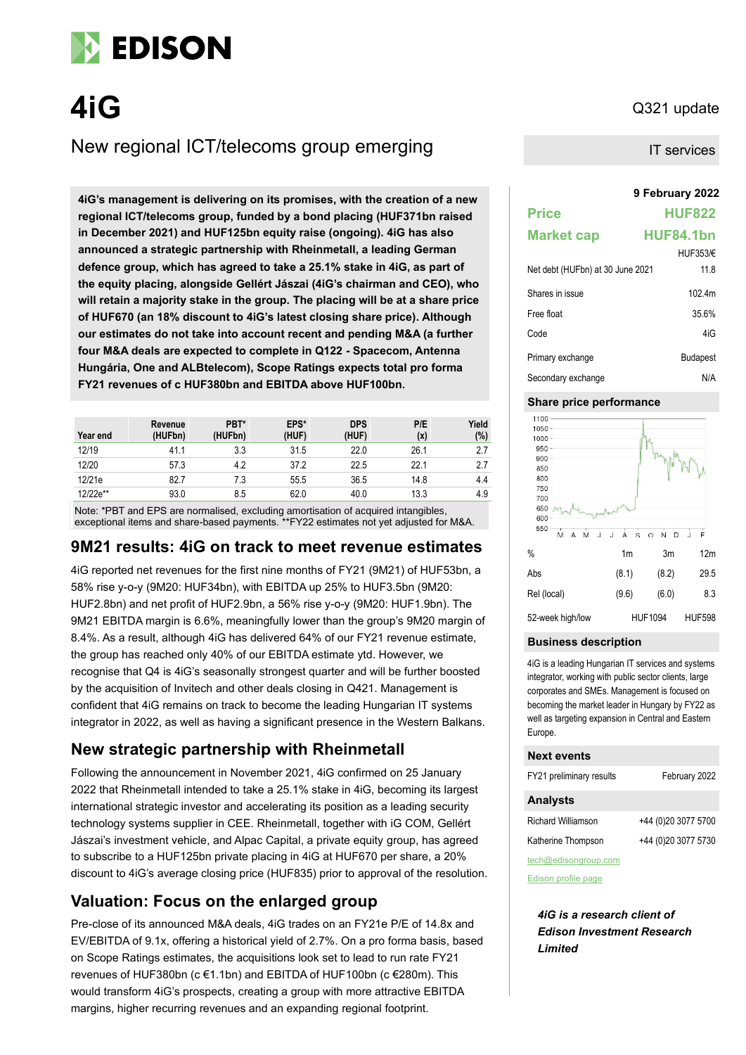

# **4iG** Q321 update

### New regional ICT/telecoms group emerging

**9 February 2022 4iG's management is delivering on its promises, with the creation of a new regional ICT/telecoms group, funded by a bond placing (HUF371bn raised in December 2021) and HUF125bn equity raise (ongoing). 4iG has also announced a strategic partnership with Rheinmetall, a leading German defence group, which has agreed to take a 25.1% stake in 4iG, as part of the equity placing, alongside Gellért Jászai (4iG's chairman and CEO), who will retain a majority stake in the group. The placing will be at a share price of HUF670 (an 18% discount to 4iG's latest closing share price). Although our estimates do not take into account recent and pending M&A (a further four M&A deals are expected to complete in Q122 - Spacecom, Antenna Hungária, One and ALBtelecom), Scope Ratings expects total pro forma FY21 revenues of c HUF380bn and EBITDA above HUF100bn.**

| Year end | Revenue<br>(HUFbn) | PBT*<br>(HUFbn) | EPS*<br>(HUF) | <b>DPS</b><br>(HUF) | P/E<br>(x) | Yield<br>(%) |
|----------|--------------------|-----------------|---------------|---------------------|------------|--------------|
| 12/19    | 41.1               | 3.3             | 31.5          | 22.0                | 26.1       | 2.7          |
| 12/20    | 57.3               | 4.2             | 37.2          | 22.5                | 22.1       | 2.7          |
| 12/21e   | 82.7               | 7.3             | 55.5          | 36.5                | 14.8       | 4.4          |
| 12/22e** | 93.0               | 8.5             | 62.0          | 40.0                | 13.3       | 4.9          |

Note: \*PBT and EPS are normalised, excluding amortisation of acquired intangibles, exceptional items and share-based payments. \*\*FY22 estimates not yet adjusted for M&A.

### **9M21 results: 4iG on track to meet revenue estimates**

4iG reported net revenues for the first nine months of FY21 (9M21) of HUF53bn, a 58% rise y-o-y (9M20: HUF34bn), with EBITDA up 25% to HUF3.5bn (9M20: HUF2.8bn) and net profit of HUF2.9bn, a 56% rise y-o-y (9M20: HUF1.9bn). The 9M21 EBITDA margin is 6.6%, meaningfully lower than the group's 9M20 margin of 8.4%. As a result, although 4iG has delivered 64% of our FY21 revenue estimate, the group has reached only 40% of our EBITDA estimate ytd. However, we recognise that Q4 is 4iG's seasonally strongest quarter and will be further boosted by the acquisition of Invitech and other deals closing in Q421. Management is confident that 4iG remains on track to become the leading Hungarian IT systems integrator in 2022, as well as having a significant presence in the Western Balkans.

### **New strategic partnership with Rheinmetall**

Following the announcement in November 2021, 4iG confirmed on 25 January 2022 that Rheinmetall intended to take a 25.1% stake in 4iG, becoming its largest international strategic investor and accelerating its position as a leading security technology systems supplier in CEE. Rheinmetall, together with iG COM, Gellért Jászai's investment vehicle, and Alpac Capital, a private equity group, has agreed to subscribe to a HUF125bn private placing in 4iG at HUF670 per share, a 20% discount to 4iG's average closing price (HUF835) prior to approval of the resolution.

### **Valuation: Focus on the enlarged group**

Pre-close of its announced M&A deals, 4iG trades on an FY21e P/E of 14.8x and EV/EBITDA of 9.1x, offering a historical yield of 2.7%. On a pro forma basis, based on Scope Ratings estimates, the acquisitions look set to lead to run rate FY21 revenues of HUF380bn (c €1.1bn) and EBITDA of HUF100bn (c €280m). This would transform 4iG's prospects, creating a group with more attractive EBITDA margins, higher recurring revenues and an expanding regional footprint.

IT services

| <b>Price</b>                     | <b>HUF822</b>    |
|----------------------------------|------------------|
| <b>Market cap</b>                | <b>HUF84.1bn</b> |
|                                  | HUF353/E         |
| Net debt (HUFbn) at 30 June 2021 | 11.8             |
| Shares in issue                  | 102 4m           |
| Free float                       | 35.6%            |
| Code                             | 4iG              |
| Primary exchange                 | <b>Budapest</b>  |
| Secondary exchange               | N/A              |

#### **Share price performance**



#### **Business description**

4iG is a leading Hungarian IT services and systems integrator, working with public sector clients, large corporates and SMEs. Management is focused on becoming the market leader in Hungary by FY22 as well as targeting expansion in Central and Eastern Europe.

#### **Next events**

| FY21 preliminary results  | February 2022       |
|---------------------------|---------------------|
| <b>Analysts</b>           |                     |
| <b>Richard Williamson</b> | +44 (0)20 3077 5700 |
| Katherine Thompson        | +44 (0)20 3077 5730 |
| tech@edisongroup.com      |                     |

[Edison profile page](https://www.edisongroup.com/company/4ig/2928/)

*4iG is a research client of Edison Investment Research Limited*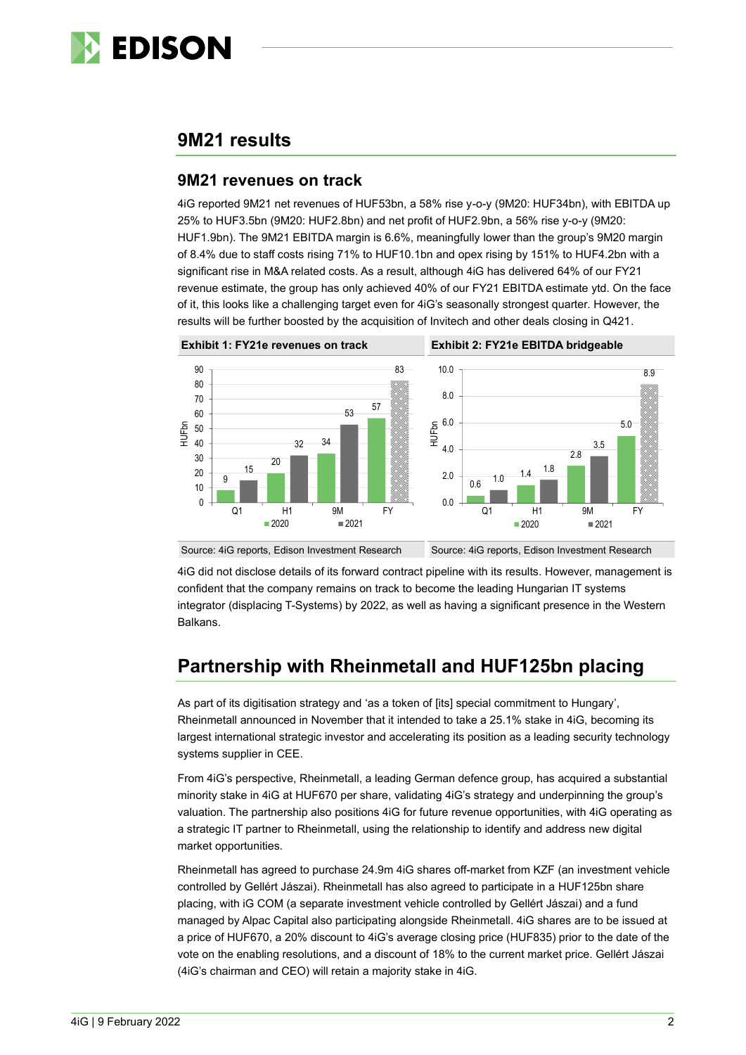

### **9M21 results**

#### **9M21 revenues on track**

4iG reported 9M21 net revenues of HUF53bn, a 58% rise y-o-y (9M20: HUF34bn), with EBITDA up 25% to HUF3.5bn (9M20: HUF2.8bn) and net profit of HUF2.9bn, a 56% rise y-o-y (9M20: HUF1.9bn). The 9M21 EBITDA margin is 6.6%, meaningfully lower than the group's 9M20 margin of 8.4% due to staff costs rising 71% to HUF10.1bn and opex rising by 151% to HUF4.2bn with a significant rise in M&A related costs. As a result, although 4iG has delivered 64% of our FY21 revenue estimate, the group has only achieved 40% of our FY21 EBITDA estimate ytd. On the face of it, this looks like a challenging target even for 4iG's seasonally strongest quarter. However, the results will be further boosted by the acquisition of Invitech and other deals closing in Q421.



Source: 4iG reports, Edison Investment Research Source: 4iG reports, Edison Investment Research

4iG did not disclose details of its forward contract pipeline with its results. However, management is confident that the company remains on track to become the leading Hungarian IT systems integrator (displacing T-Systems) by 2022, as well as having a significant presence in the Western Balkans.

## **Partnership with Rheinmetall and HUF125bn placing**

As part of its digitisation strategy and 'as a token of [its] special commitment to Hungary', Rheinmetall announced in November that it intended to take a 25.1% stake in 4iG, becoming its largest international strategic investor and accelerating its position as a leading security technology systems supplier in CEE.

From 4iG's perspective, Rheinmetall, a leading German defence group, has acquired a substantial minority stake in 4iG at HUF670 per share, validating 4iG's strategy and underpinning the group's valuation. The partnership also positions 4iG for future revenue opportunities, with 4iG operating as a strategic IT partner to Rheinmetall, using the relationship to identify and address new digital market opportunities.

Rheinmetall has agreed to purchase 24.9m 4iG shares off-market from KZF (an investment vehicle controlled by Gellért Jászai). Rheinmetall has also agreed to participate in a HUF125bn share placing, with iG COM (a separate investment vehicle controlled by Gellért Jászai) and a fund managed by Alpac Capital also participating alongside Rheinmetall. 4iG shares are to be issued at a price of HUF670, a 20% discount to 4iG's average closing price (HUF835) prior to the date of the vote on the enabling resolutions, and a discount of 18% to the current market price. Gellért Jászai (4iG's chairman and CEO) will retain a majority stake in 4iG.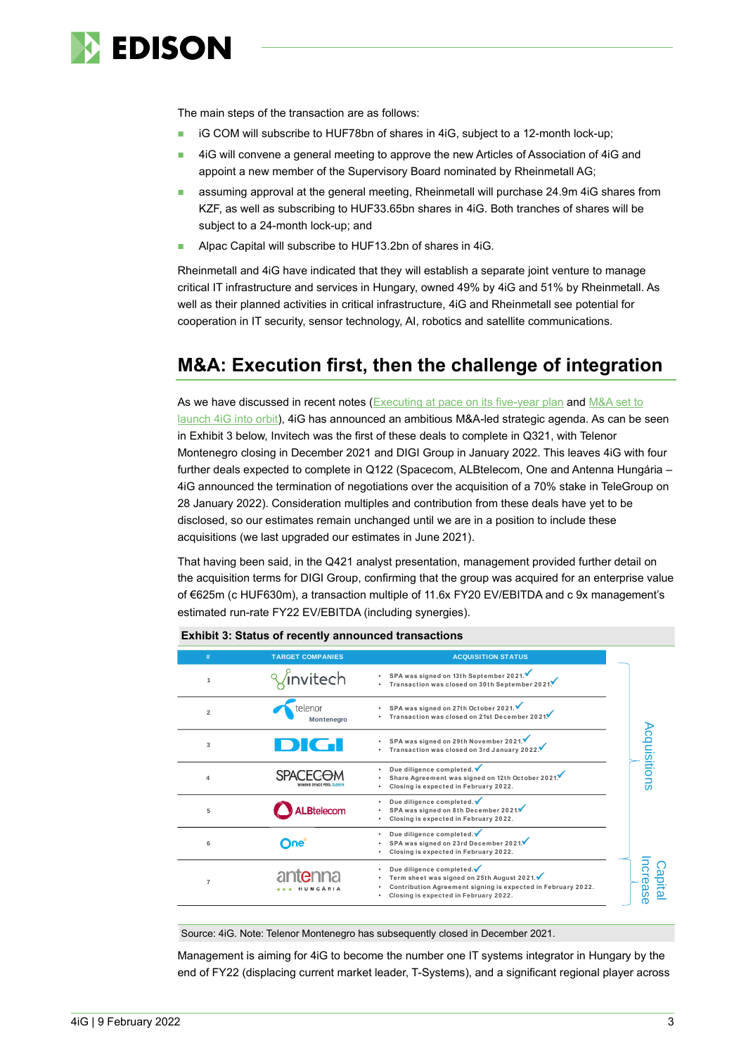

The main steps of the transaction are as follows:

- iG COM will subscribe to HUF78bn of shares in 4iG, subject to a 12-month lock-up;
- ◼ 4iG will convene a general meeting to approve the new Articles of Association of 4iG and appoint a new member of the Supervisory Board nominated by Rheinmetall AG;
- assuming approval at the general meeting, Rheinmetall will purchase 24.9m 4iG shares from KZF, as well as subscribing to HUF33.65bn shares in 4iG. Both tranches of shares will be subject to a 24-month lock-up; and
- Alpac Capital will subscribe to HUF13.2bn of shares in 4iG.

Rheinmetall and 4iG have indicated that they will establish a separate joint venture to manage critical IT infrastructure and services in Hungary, owned 49% by 4iG and 51% by Rheinmetall. As well as their planned activities in critical infrastructure, 4iG and Rheinmetall see potential for cooperation in IT security, sensor technology, AI, robotics and satellite communications.

### **M&A: Execution first, then the challenge of integration**

As we have discussed in recent notes [\(Executing at pace on its five-year plan](https://www.edisongroup.com/publication/executing-at-pace-on-its-five-year-plan/29614) and M&A set to [launch 4iG into orbit\)](https://www.edisongroup.com/publication/ma-set-to-launch-4ig-into-orbit/30046/), 4iG has announced an ambitious M&A-led strategic agenda. As can be seen in Exhibit 3 below, Invitech was the first of these deals to complete in Q321, with Telenor Montenegro closing in December 2021 and DIGI Group in January 2022. This leaves 4iG with four further deals expected to complete in Q122 (Spacecom, ALBtelecom, One and Antenna Hungária – 4iG announced the termination of negotiations over the acquisition of a 70% stake in TeleGroup on 28 January 2022). Consideration multiples and contribution from these deals have yet to be disclosed, so our estimates remain unchanged until we are in a position to include these acquisitions (we last upgraded our estimates in June 2021).

That having been said, in the Q421 analyst presentation, management provided further detail on the acquisition terms for DIGI Group, confirming that the group was acquired for an enterprise value of €625m (c HUF630m), a transaction multiple of 11.6x FY20 EV/EBITDA and c 9x management's estimated run-rate FY22 EV/EBITDA (including synergies).

| #              | <b>TARGET COMPANIES</b> | <b>ACQUISITION STATUS</b>                                                                                                                                                       |  |
|----------------|-------------------------|---------------------------------------------------------------------------------------------------------------------------------------------------------------------------------|--|
|                | invitech                | SPA was signed on 13th September 2021.<br>Transaction was closed on 30th September 2021.                                                                                        |  |
| $\overline{2}$ | telenor<br>Montenegro   | SPA was signed on 27th October 2021.<br>Transaction was closed on 21st December 2021.                                                                                           |  |
| 3              |                         | SPA was signed on 29th November 2021.<br>Transaction was closed on 3rd January 2022.                                                                                            |  |
| $\Delta$       |                         | Due diligence completed. V<br>Share Agreement was signed on 12th October 2021.<br>Closing is expected in February 2022.                                                         |  |
| 5              | .Btelecom               | Due diligence completed. $\checkmark$<br>SPA was signed on 8th December 2021.<br>Closing is expected in February 2022.                                                          |  |
| 6              | ∩∩e്                    | Due diligence completed. V<br>SPA was signed on 23rd December 2021.<br>Closing is expected in February 2022.                                                                    |  |
| $\overline{7}$ | HUNGÁRIA                | Due diligence completed.<br>Term sheet was signed on 25th August 2021.<br>Contribution Agreement signing is expected in February 2022.<br>Closing is expected in February 2022. |  |

**Exhibit 3: Status of recently announced transactions**

Source: 4iG. Note: Telenor Montenegro has subsequently closed in December 2021.

Management is aiming for 4iG to become the number one IT systems integrator in Hungary by the end of FY22 (displacing current market leader, T-Systems), and a significant regional player across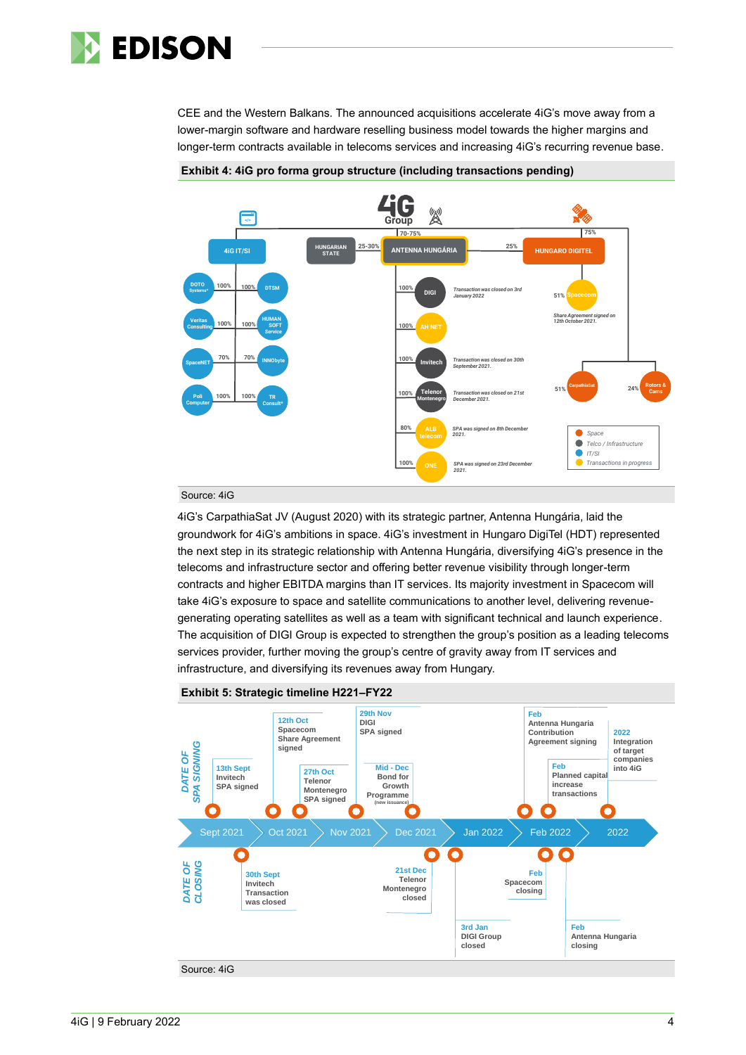

CEE and the Western Balkans. The announced acquisitions accelerate 4iG's move away from a lower-margin software and hardware reselling business model towards the higher margins and longer-term contracts available in telecoms services and increasing 4iG's recurring revenue base.



#### **Exhibit 4: 4iG pro forma group structure (including transactions pending)**

#### Source: 4iG

4iG's CarpathiaSat JV (August 2020) with its strategic partner, Antenna Hungária, laid the groundwork for 4iG's ambitions in space. 4iG's investment in Hungaro DigiTel (HDT) represented the next step in its strategic relationship with Antenna Hungária, diversifying 4iG's presence in the telecoms and infrastructure sector and offering better revenue visibility through longer-term contracts and higher EBITDA margins than IT services. Its majority investment in Spacecom will take 4iG's exposure to space and satellite communications to another level, delivering revenuegenerating operating satellites as well as a team with significant technical and launch experience. The acquisition of DIGI Group is expected to strengthen the group's position as a leading telecoms services provider, further moving the group's centre of gravity away from IT services and infrastructure, and diversifying its revenues away from Hungary.

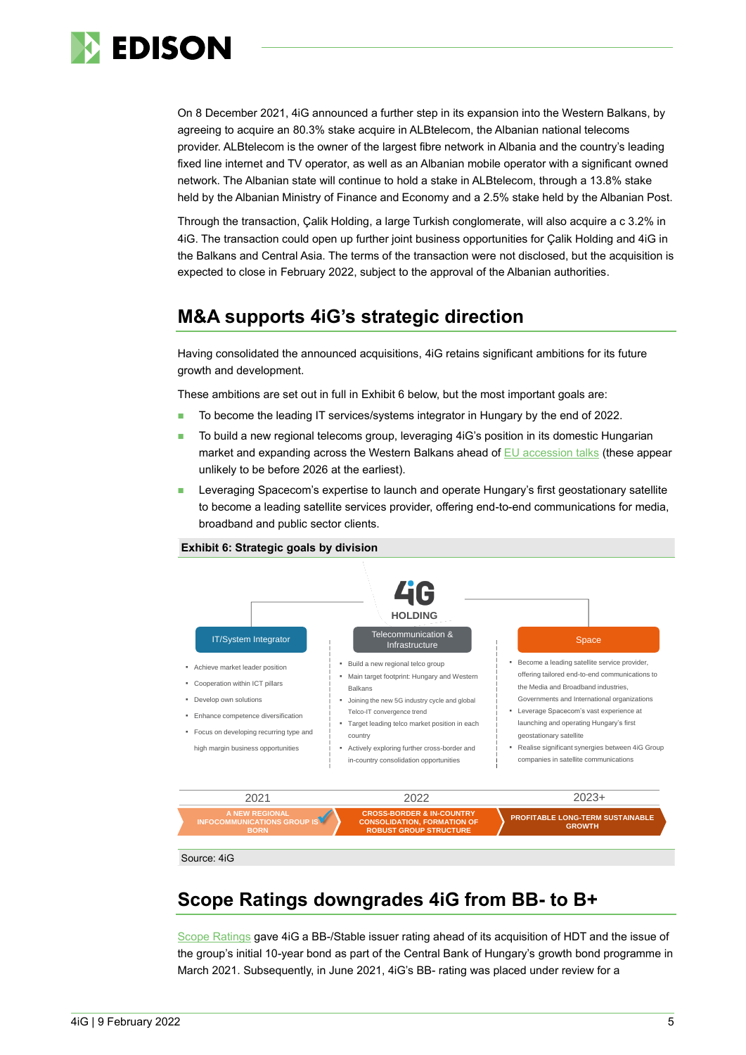

On 8 December 2021, 4iG announced a further step in its expansion into the Western Balkans, by agreeing to acquire an 80.3% stake acquire in ALBtelecom, the Albanian national telecoms provider. ALBtelecom is the owner of the largest fibre network in Albania and the country's leading fixed line internet and TV operator, as well as an Albanian mobile operator with a significant owned network. The Albanian state will continue to hold a stake in ALBtelecom, through a 13.8% stake held by the Albanian Ministry of Finance and Economy and a 2.5% stake held by the Albanian Post.

Through the transaction, Çalik Holding, a large Turkish conglomerate, will also acquire a c 3.2% in 4iG. The transaction could open up further joint business opportunities for Çalik Holding and 4iG in the Balkans and Central Asia. The terms of the transaction were not disclosed, but the acquisition is expected to close in February 2022, subject to the approval of the Albanian authorities.

### **M&A supports 4iG's strategic direction**

Having consolidated the announced acquisitions, 4iG retains significant ambitions for its future growth and development.

These ambitions are set out in full in Exhibit 6 below, but the most important goals are:

- To become the leading IT services/systems integrator in Hungary by the end of 2022.
- To build a new regional telecoms group, leveraging 4iG's position in its domestic Hungarian market and expanding across the Western Balkans ahead of  $EU$  accession talks (these appear unlikely to be before 2026 at the earliest).
- Leveraging Spacecom's expertise to launch and operate Hungary's first geostationary satellite to become a leading satellite services provider, offering end-to-end communications for media, broadband and public sector clients.



#### **Exhibit 6: Strategic goals by division**

## **Scope Ratings downgrades 4iG from BB- to B+**

[Scope Ratings](https://www.scoperatings.com/#!search/rating/detail/CR0000564028) gave 4iG a BB-/Stable issuer rating ahead of its acquisition of HDT and the issue of the group's initial 10-year bond as part of the Central Bank of Hungary's growth bond programme in March 2021. Subsequently, in June 2021, 4iG's BB- rating was placed under review for a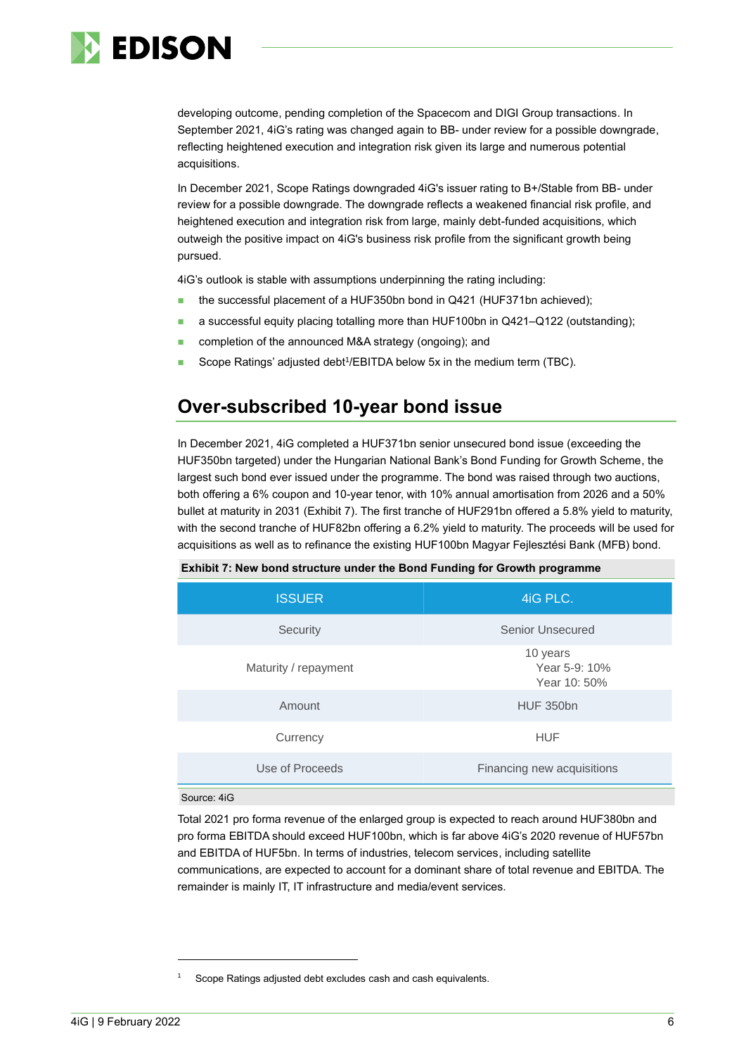

developing outcome, pending completion of the Spacecom and DIGI Group transactions. In September 2021, 4iG's rating was changed again to BB- under review for a possible downgrade, reflecting heightened execution and integration risk given its large and numerous potential acquisitions.

In December 2021, Scope Ratings downgraded 4iG's issuer rating to B+/Stable from BB- under review for a possible downgrade. The downgrade reflects a weakened financial risk profile, and heightened execution and integration risk from large, mainly debt-funded acquisitions, which outweigh the positive impact on 4iG's business risk profile from the significant growth being pursued.

4iG's outlook is stable with assumptions underpinning the rating including:

- the successful placement of a HUF350bn bond in Q421 (HUF371bn achieved);
- a successful equity placing totalling more than HUF100bn in Q421-Q122 (outstanding);
- completion of the announced M&A strategy (ongoing); and
- Scope Ratings' adjusted debt<sup>1</sup>/EBITDA below 5x in the medium term (TBC).

### **Over-subscribed 10-year bond issue**

In December 2021, 4iG completed a HUF371bn senior unsecured bond issue (exceeding the HUF350bn targeted) under the Hungarian National Bank's Bond Funding for Growth Scheme, the largest such bond ever issued under the programme. The bond was raised through two auctions, both offering a 6% coupon and 10-year tenor, with 10% annual amortisation from 2026 and a 50% bullet at maturity in 2031 (Exhibit 7). The first tranche of HUF291bn offered a 5.8% yield to maturity, with the second tranche of HUF82bn offering a 6.2% yield to maturity. The proceeds will be used for acquisitions as well as to refinance the existing HUF100bn [Magyar Fejlesztési Bank \(M](https://www.mfb.hu/en/public-transactions-s358)FB) bond.

| <b>ISSUER</b>        | 4iG PLC.                                  |
|----------------------|-------------------------------------------|
| Security             | Senior Unsecured                          |
| Maturity / repayment | 10 years<br>Year 5-9: 10%<br>Year 10: 50% |
| Amount               | <b>HUF 350bn</b>                          |
| Currency             | <b>HUF</b>                                |
| Use of Proceeds      | Financing new acquisitions                |
| Source: 4iG          |                                           |

**Exhibit 7: New bond structure under the Bond Funding for Growth programme**

Total 2021 pro forma revenue of the enlarged group is expected to reach around HUF380bn and pro forma EBITDA should exceed HUF100bn, which is far above 4iG's 2020 revenue of HUF57bn and EBITDA of HUF5bn. In terms of industries, telecom services, including satellite communications, are expected to account for a dominant share of total revenue and EBITDA. The remainder is mainly IT, IT infrastructure and media/event services.

Scope Ratings adjusted debt excludes cash and cash equivalents.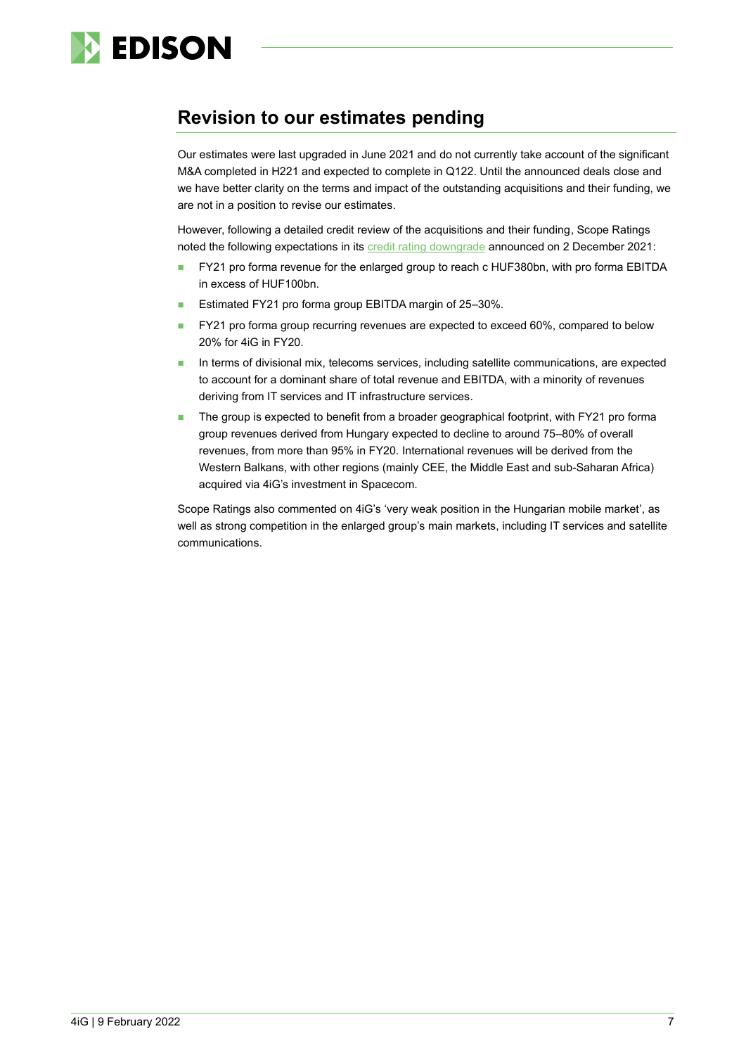

### **Revision to our estimates pending**

Our estimates were last upgraded in June 2021 and do not currently take account of the significant M&A completed in H221 and expected to complete in Q122. Until the announced deals close and we have better clarity on the terms and impact of the outstanding acquisitions and their funding, we are not in a position to revise our estimates.

However, following a detailed credit review of the acquisitions and their funding, Scope Ratings noted the following expectations in its [credit rating downgrade](https://www.scoperatings.com/#search/research/detail/169448EN) announced on 2 December 2021:

- ◼ FY21 pro forma revenue for the enlarged group to reach c HUF380bn, with pro forma EBITDA in excess of HUF100bn.
- Estimated FY21 pro forma group EBITDA margin of 25-30%.
- FY21 pro forma group recurring revenues are expected to exceed 60%, compared to below 20% for 4iG in FY20.
- In terms of divisional mix, telecoms services, including satellite communications, are expected to account for a dominant share of total revenue and EBITDA, with a minority of revenues deriving from IT services and IT infrastructure services.
- The group is expected to benefit from a broader geographical footprint, with FY21 pro forma group revenues derived from Hungary expected to decline to around 75–80% of overall revenues, from more than 95% in FY20. International revenues will be derived from the Western Balkans, with other regions (mainly CEE, the Middle East and sub-Saharan Africa) acquired via 4iG's investment in Spacecom.

Scope Ratings also commented on 4iG's 'very weak position in the Hungarian mobile market', as well as strong competition in the enlarged group's main markets, including IT services and satellite communications.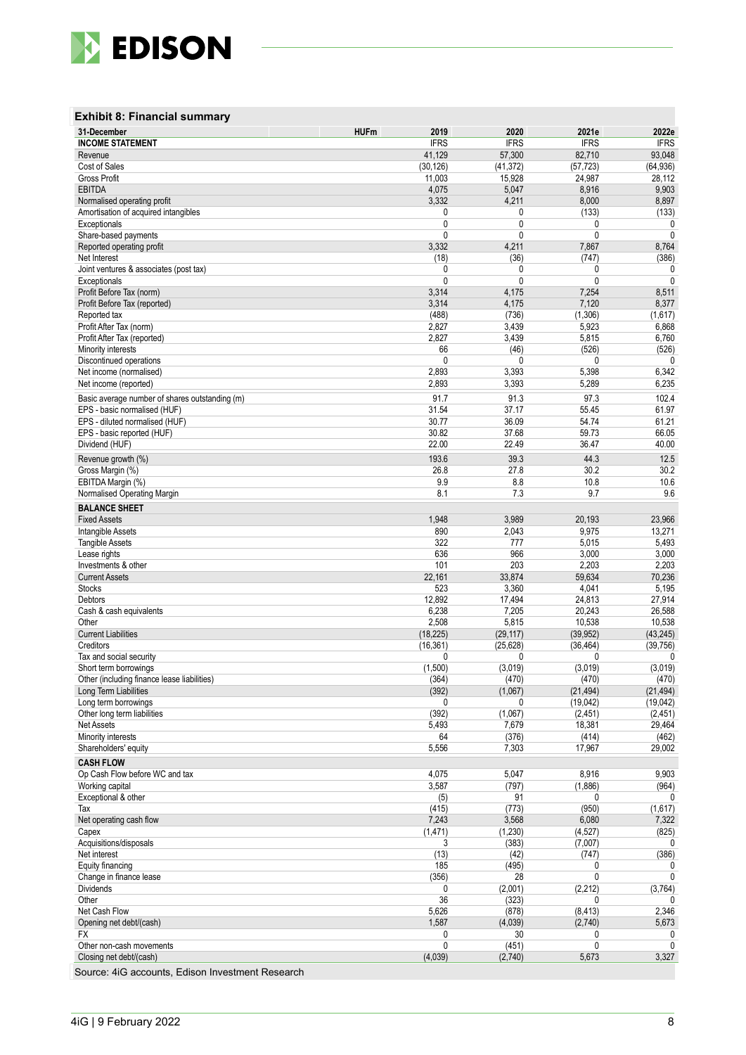

#### **Exhibit 8 : Financial summary**

| 31-December                                            | <b>HUFm</b><br>2019       | 2020                   | 2021e                     | 2022e                 |
|--------------------------------------------------------|---------------------------|------------------------|---------------------------|-----------------------|
| <b>INCOME STATEMENT</b>                                | <b>IFRS</b>               | <b>IFRS</b>            | <b>IFRS</b>               | <b>IFRS</b>           |
| Revenue                                                | 41,129                    | 57,300                 | 82,710                    | 93,048                |
| Cost of Sales<br><b>Gross Profit</b>                   | (30, 126)<br>11,003       | (41, 372)<br>15,928    | (57, 723)<br>24,987       | (64, 936)<br>28,112   |
| <b>EBITDA</b>                                          | 4,075                     | 5,047                  | 8,916                     | 9,903                 |
| Normalised operating profit                            | 3,332                     | 4,211                  | 8,000                     | 8,897                 |
| Amortisation of acquired intangibles                   | 0                         | 0                      | (133)                     | (133)                 |
| Exceptionals                                           | 0                         | 0                      | 0                         | 0                     |
| Share-based payments                                   | 0                         | 0                      | $\mathbf 0$               | $\mathbf{0}$          |
| Reported operating profit                              | 3,332                     | 4,211                  | 7,867                     | 8,764                 |
| Net Interest<br>Joint ventures & associates (post tax) | (18)<br>0                 | (36)<br>0              | (747)<br>0                | (386)<br>0            |
| Exceptionals                                           | 0                         | 0                      | $\mathbf{0}$              | $\mathbf{0}$          |
| Profit Before Tax (norm)                               | 3,314                     | 4,175                  | 7,254                     | 8,511                 |
| Profit Before Tax (reported)                           | 3,314                     | 4,175                  | 7,120                     | 8,377                 |
| Reported tax                                           | (488)                     | (736)                  | (1,306)                   | (1,617)               |
| Profit After Tax (norm)                                | 2,827                     | 3,439                  | 5,923                     | 6,868                 |
| Profit After Tax (reported)                            | 2,827                     | 3,439                  | 5,815                     | 6,760                 |
| Minority interests<br>Discontinued operations          | 66<br>$\mathbf{0}$        | (46)<br>0              | (526)<br>$\Omega$         | (526)<br>0            |
| Net income (normalised)                                | 2,893                     | 3,393                  | 5,398                     | 6,342                 |
| Net income (reported)                                  | 2,893                     | 3,393                  | 5,289                     | 6,235                 |
| Basic average number of shares outstanding (m)         | 91.7                      | 91.3                   | 97.3                      | 102.4                 |
| EPS - basic normalised (HUF)                           | 31.54                     | 37.17                  | 55.45                     | 61.97                 |
| EPS - diluted normalised (HUF)                         | 30.77                     | 36.09                  | 54.74                     | 61.21                 |
| EPS - basic reported (HUF)                             | 30.82                     | 37.68                  | 59.73                     | 66.05                 |
| Dividend (HUF)                                         | 22.00                     | 22.49                  | 36.47                     | 40.00                 |
| Revenue growth (%)                                     | 193.6                     | 39.3                   | 44.3                      | 12.5                  |
| Gross Margin (%)                                       | 26.8                      | 27.8                   | 30.2                      | 30.2                  |
| EBITDA Margin (%)                                      | 9.9                       | 8.8                    | 10.8                      | 10.6                  |
| Normalised Operating Margin                            | 8.1                       | 7.3                    | 9.7                       | 9.6                   |
| <b>BALANCE SHEET</b>                                   |                           |                        |                           |                       |
| <b>Fixed Assets</b>                                    | 1,948                     | 3,989                  | 20,193                    | 23,966                |
| Intangible Assets                                      | 890                       | 2,043                  | 9,975                     | 13,271                |
| <b>Tangible Assets</b><br>Lease rights                 | 322<br>636                | 777<br>966             | 5,015<br>3,000            | 5,493<br>3,000        |
| Investments & other                                    | 101                       | 203                    | 2,203                     | 2,203                 |
| <b>Current Assets</b>                                  | 22,161                    | 33,874                 | 59,634                    | 70,236                |
| <b>Stocks</b>                                          | 523                       | 3,360                  | 4,041                     | 5,195                 |
| Debtors                                                | 12,892                    | 17,494                 | 24,813                    | 27,914                |
| Cash & cash equivalents                                | 6,238                     | 7,205                  | 20,243                    | 26,588                |
| Other                                                  | 2,508                     | 5,815                  | 10,538                    | 10,538                |
| <b>Current Liabilities</b>                             | (18, 225)                 | (29, 117)<br>(25, 628) | (39, 952)                 | (43, 245)             |
| Creditors<br>Tax and social security                   | (16, 361)<br>$\mathbf{0}$ | 0                      | (36, 464)<br>$\mathbf{0}$ | (39, 756)<br>0        |
| Short term borrowings                                  | (1,500)                   | (3,019)                | (3,019)                   | (3,019)               |
| Other (including finance lease liabilities)            | (364)                     | (470)                  | (470)                     | (470)                 |
| Long Term Liabilities                                  | (392)                     | (1,067)                | (21, 494)                 | (21, 494)             |
| Long term borrowings                                   | 0                         | 0                      | (19,042)                  | (19,042)              |
| Other long term liabilities                            | (392)                     | (1,067)                | (2, 451)                  | (2, 451)              |
| Net Assets                                             | 5,493                     | 7,679                  | 18,381                    | 29,464                |
| Minority interests<br>Shareholders' equity             | 64<br>5,556               | (376)<br>7,303         | (414)<br>17,967           | (462)<br>29,002       |
|                                                        |                           |                        |                           |                       |
| <b>CASH FLOW</b><br>Op Cash Flow before WC and tax     | 4,075                     | 5,047                  | 8,916                     | 9,903                 |
| Working capital                                        | 3,587                     | (797)                  | (1,886)                   | (964)                 |
| Exceptional & other                                    | (5)                       | 91                     | 0                         | 0                     |
| Tax                                                    | (415)                     | (773)                  | (950)                     | (1,617)               |
| Net operating cash flow                                | 7,243                     | 3,568                  | 6,080                     | 7,322                 |
| Capex                                                  | (1, 471)                  | (1, 230)               | (4,527)                   | (825)                 |
| Acquisitions/disposals                                 | 3                         | (383)                  | (7,007)                   | 0                     |
| Net interest<br>Equity financing                       | (13)<br>185               | (42)<br>(495)          | (747)<br>0                | (386)<br>0            |
| Change in finance lease                                | (356)                     | 28                     | $\mathbf{0}$              | $\mathbf 0$           |
| <b>Dividends</b>                                       | 0                         | (2,001)                | (2, 212)                  | (3,764)               |
| Other                                                  | 36                        | (323)                  | 0                         | 0                     |
| Net Cash Flow                                          | 5,626                     | (878)                  | (8, 413)                  | 2,346                 |
| Opening net debt/(cash)                                | 1,587                     | (4,039)                | (2,740)                   | 5,673                 |
| FX                                                     | 0                         | 30                     | 0                         | 0                     |
| Other non-cash movements<br>Closing net debt/(cash)    | 0<br>(4,039)              | (451)<br>(2,740)       | $\mathbf{0}$<br>5,673     | $\mathbf{0}$<br>3,327 |
|                                                        |                           |                        |                           |                       |